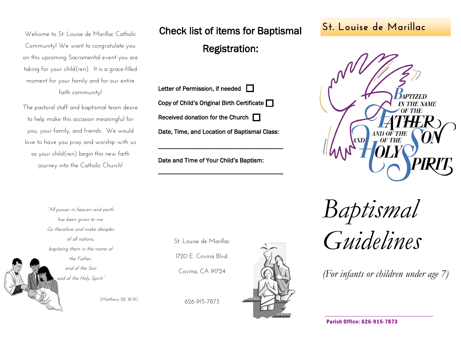Welcome to St. Louise de Marillac Catholic Community! We want to congratulate you on this upcoming Sacramental event you are taking for your child(ren). It is a grace-filled moment for your family and for our entire faith community!

The pastoral staff and baptismal team desire to help make this occasion meaningful for you, your family, and friends. We would love to have you pray and worship with us as your child(ren) begin this new faith journey into the Catholic Church!

**St. Louise de Marillac** Check list of items for Baptismal

# Registration:

| Letter of Permission, if needed $\Box$       |
|----------------------------------------------|
| Copy of Child's Original Birth Certificate   |
| Received donation for the Church $\Box$      |
| Date, Time, and Location of Baptismal Class: |

\_\_\_\_\_\_\_\_\_\_\_\_\_\_\_\_\_\_\_\_\_\_\_\_\_\_\_\_\_\_\_\_\_\_\_\_\_\_\_

\_\_\_\_\_\_\_\_\_\_\_\_\_\_\_\_\_\_\_\_\_\_\_\_\_\_\_\_\_\_\_\_\_\_\_\_\_\_\_

Date and Time of Your Child's Baptism:

"All power in heaven and earth has been given to me. Go therefore and make disciples of all nations, baptizing them in the name of the Father, and of the Son and of the Holy Spirit."

(Matthew 28: 18-19)

St. Louise de Marillac

1720 E. Covina Blvd.

Covina, CA 91724







*Baptismal Guidelines*

*(For infants or children under age 7)*

Parish Office: 626-915-7873